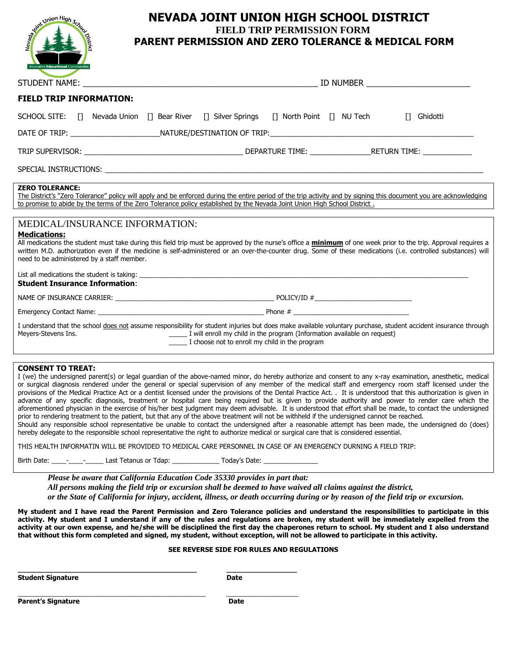

## **NEVADA JOINT UNION HIGH SCHOOL DISTRICT FIELD TRIP PERMISSION FORM PARENT PERMISSION AND ZERO TOLERANCE & MEDICAL FORM**

|                                                                                                                                                                                                                                                                                                                                                                                                                                                                                                                                                                                                                                                                               | <b>ID NUMBER EXECUTE AND INCOMENDATION</b> |  |             |
|-------------------------------------------------------------------------------------------------------------------------------------------------------------------------------------------------------------------------------------------------------------------------------------------------------------------------------------------------------------------------------------------------------------------------------------------------------------------------------------------------------------------------------------------------------------------------------------------------------------------------------------------------------------------------------|--------------------------------------------|--|-------------|
| <b>FIELD TRIP INFORMATION:</b>                                                                                                                                                                                                                                                                                                                                                                                                                                                                                                                                                                                                                                                |                                            |  |             |
| SCHOOL SITE: [] Nevada Union [] Bear River [] Silver Springs [] North Point [] NU Tech                                                                                                                                                                                                                                                                                                                                                                                                                                                                                                                                                                                        |                                            |  | [] Ghidotti |
|                                                                                                                                                                                                                                                                                                                                                                                                                                                                                                                                                                                                                                                                               |                                            |  |             |
|                                                                                                                                                                                                                                                                                                                                                                                                                                                                                                                                                                                                                                                                               |                                            |  |             |
|                                                                                                                                                                                                                                                                                                                                                                                                                                                                                                                                                                                                                                                                               |                                            |  |             |
| <b>ZERO TOLERANCE:</b><br>The District's "Zero Tolerance" policy will apply and be enforced during the entire period of the trip activity and by signing this document you are acknowledging<br>to promise to abide by the terms of the Zero Tolerance policy established by the Nevada Joint Union High School District.<br><u> 1989 - John Stein, amerikansk politiker (</u>                                                                                                                                                                                                                                                                                                |                                            |  |             |
|                                                                                                                                                                                                                                                                                                                                                                                                                                                                                                                                                                                                                                                                               |                                            |  |             |
| MEDICAL/INSURANCE INFORMATION:<br><b>Medications:</b><br>All medications the student must take during this field trip must be approved by the nurse's office a <i>minimum</i> of one week prior to the trip. Approval requires a<br>written M.D. authorization even if the medicine is self-administered or an over-the-counter drug. Some of these medications (i.e. controlled substances) will<br>need to be administered by a staff member.<br><b>Student Insurance Information:</b>                                                                                                                                                                                      |                                            |  |             |
|                                                                                                                                                                                                                                                                                                                                                                                                                                                                                                                                                                                                                                                                               |                                            |  |             |
|                                                                                                                                                                                                                                                                                                                                                                                                                                                                                                                                                                                                                                                                               |                                            |  |             |
| I understand that the school does not assume responsibility for student injuries but does make available voluntary purchase, student accident insurance through<br>I will enroll my child in the program (Information available on request)<br>Meyers-Stevens Ins.<br>I choose not to enroll my child in the program                                                                                                                                                                                                                                                                                                                                                          |                                            |  |             |
|                                                                                                                                                                                                                                                                                                                                                                                                                                                                                                                                                                                                                                                                               |                                            |  |             |
| <b>CONSENT TO TREAT:</b><br>I (we) the undersigned parent(s) or legal guardian of the above-named minor, do hereby authorize and consent to any x-ray examination, anesthetic, medical<br>or surgical diagnosis rendered under the general or special supervision of any member of the medical staff and emergency room staff licensed under the<br>provisions of the Medical Practice Act or a dentist licensed under the provisions of the Dental Practice Act. . It is understood that this authorization is given in<br>advance of any specific diagnosis, treatment or bosnital care being required but is given to provide authority and nower to render care which the |                                            |  |             |

is, treatment or hospital care being required but is given to provide authority and power to render aforementioned physician in the exercise of his/her best judgment may deem advisable. It is understood that effort shall be made, to contact the undersigned prior to rendering treatment to the patient, but that any of the above treatment will not be withheld if the undersigned cannot be reached. Should any responsible school representative be unable to contact the undersigned after a reasonable attempt has been made, the undersigned do (does)

hereby delegate to the responsible school representative the right to authorize medical or surgical care that is considered essential.

THIS HEALTH INFORMATIN WILL BE PROVIDED TO MEDICAL CARE PERSONNEL IN CASE OF AN EMERGENCY DURNING A FIELD TRIP:

Birth Date: \_\_\_\_-\_\_\_\_\_\_\_\_\_\_\_\_\_\_\_\_\_\_\_Last Tetanus or Tdap: \_\_\_\_\_\_\_\_\_\_\_\_\_\_\_\_\_\_\_\_\_\_\_ Today's Date: \_\_

\_\_\_\_\_\_\_\_\_\_\_\_\_\_\_\_\_\_\_\_\_\_\_\_\_\_\_\_\_\_\_\_\_ \_\_\_\_\_\_\_\_\_\_\_\_\_

*Please be aware that California Education Code 35330 provides in part that:*

*All persons making the field trip or excursion shall be deemed to have waived all claims against the district, or the State of California for injury, accident, illness, or death occurring during or by reason of the field trip or excursion.*

**My student and I have read the Parent Permission and Zero Tolerance policies and understand the responsibilities to participate in this activity. My student and I understand if any of the rules and regulations are broken, my student will be immediately expelled from the** 

**activity at our own expense, and he/she will be disciplined the first day the chaperones return to school. My student and I also understand** 

## **SEE REVERSE SIDE FOR RULES AND REGULATIONS**

**Student Signature Date** 

**that without this form completed and signed, my student, without exception, will not be allowed to participate in this activity.**